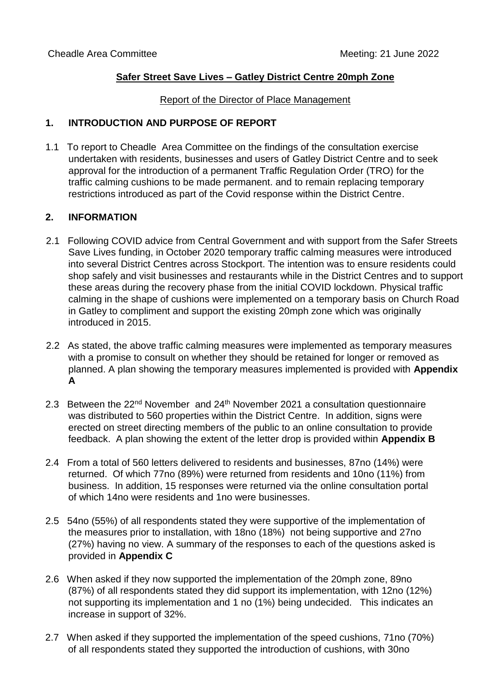## **Safer Street Save Lives – Gatley District Centre 20mph Zone**

#### Report of the Director of Place Management

## **1. INTRODUCTION AND PURPOSE OF REPORT**

1.1 To report to Cheadle Area Committee on the findings of the consultation exercise undertaken with residents, businesses and users of Gatley District Centre and to seek approval for the introduction of a permanent Traffic Regulation Order (TRO) for the traffic calming cushions to be made permanent. and to remain replacing temporary restrictions introduced as part of the Covid response within the District Centre.

### **2. INFORMATION**

- 2.1 Following COVID advice from Central Government and with support from the Safer Streets Save Lives funding, in October 2020 temporary traffic calming measures were introduced into several District Centres across Stockport. The intention was to ensure residents could shop safely and visit businesses and restaurants while in the District Centres and to support these areas during the recovery phase from the initial COVID lockdown. Physical traffic calming in the shape of cushions were implemented on a temporary basis on Church Road in Gatley to compliment and support the existing 20mph zone which was originally introduced in 2015.
- 2.2 As stated, the above traffic calming measures were implemented as temporary measures with a promise to consult on whether they should be retained for longer or removed as planned. A plan showing the temporary measures implemented is provided with **Appendix A**
- 2.3 Between the 22<sup>nd</sup> November and 24<sup>th</sup> November 2021 a consultation questionnaire was distributed to 560 properties within the District Centre. In addition, signs were erected on street directing members of the public to an online consultation to provide feedback. A plan showing the extent of the letter drop is provided within **Appendix B**
- 2.4 From a total of 560 letters delivered to residents and businesses, 87no (14%) were returned. Of which 77no (89%) were returned from residents and 10no (11%) from business. In addition, 15 responses were returned via the online consultation portal of which 14no were residents and 1no were businesses.
- 2.5 54no (55%) of all respondents stated they were supportive of the implementation of the measures prior to installation, with 18no (18%) not being supportive and 27no (27%) having no view. A summary of the responses to each of the questions asked is provided in **Appendix C**
- 2.6 When asked if they now supported the implementation of the 20mph zone, 89no (87%) of all respondents stated they did support its implementation, with 12no (12%) not supporting its implementation and 1 no (1%) being undecided. This indicates an increase in support of 32%.
- 2.7 When asked if they supported the implementation of the speed cushions, 71no (70%) of all respondents stated they supported the introduction of cushions, with 30no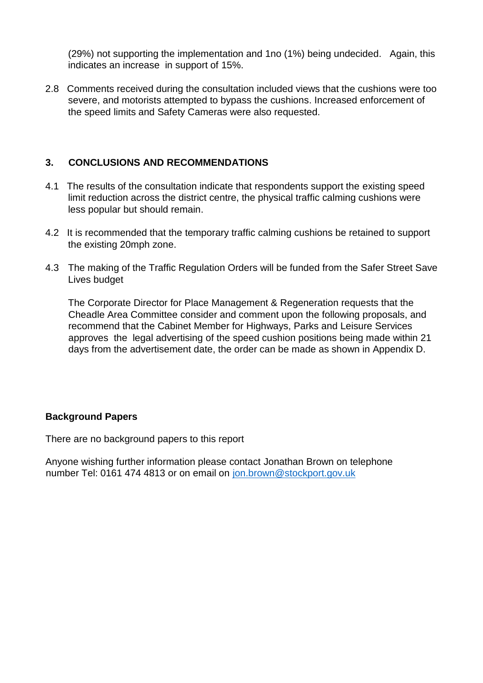(29%) not supporting the implementation and 1no (1%) being undecided. Again, this indicates an increase in support of 15%.

2.8 Comments received during the consultation included views that the cushions were too severe, and motorists attempted to bypass the cushions. Increased enforcement of the speed limits and Safety Cameras were also requested.

# **3. CONCLUSIONS AND RECOMMENDATIONS**

- 4.1 The results of the consultation indicate that respondents support the existing speed limit reduction across the district centre, the physical traffic calming cushions were less popular but should remain.
- 4.2 It is recommended that the temporary traffic calming cushions be retained to support the existing 20mph zone.
- 4.3 The making of the Traffic Regulation Orders will be funded from the Safer Street Save Lives budget

The Corporate Director for Place Management & Regeneration requests that the Cheadle Area Committee consider and comment upon the following proposals, and recommend that the Cabinet Member for Highways, Parks and Leisure Services approves the legal advertising of the speed cushion positions being made within 21 days from the advertisement date, the order can be made as shown in Appendix D.

## **Background Papers**

There are no background papers to this report

Anyone wishing further information please contact Jonathan Brown on telephone number Tel: 0161 474 4813 or on email on jon.brown@stockport.gov.uk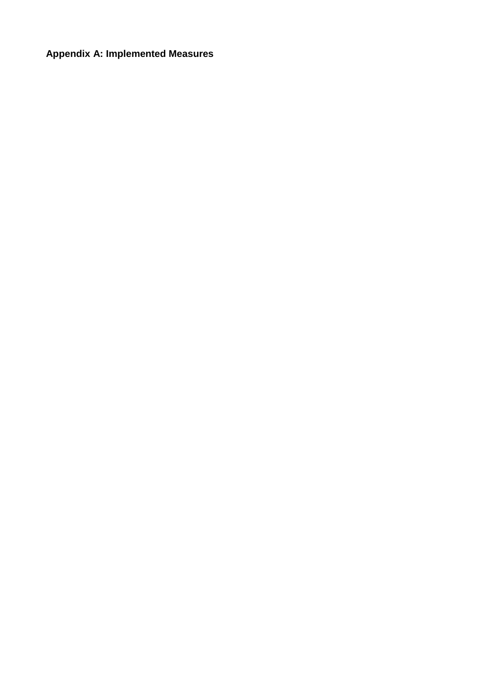# **Appendix A: Implemented Measures**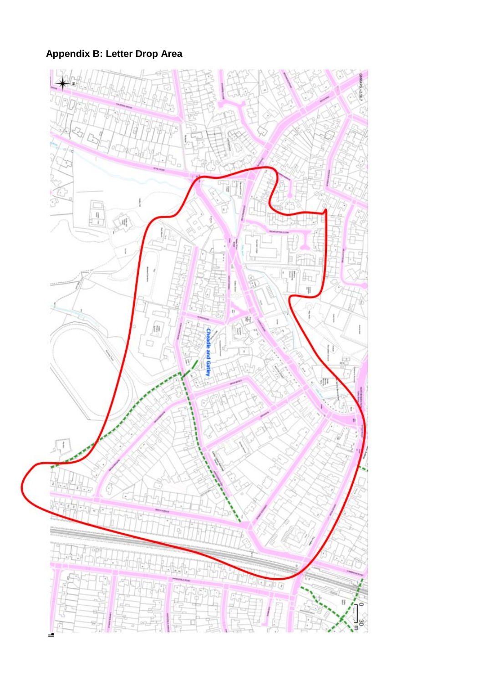**Appendix B: Letter Drop Area** 

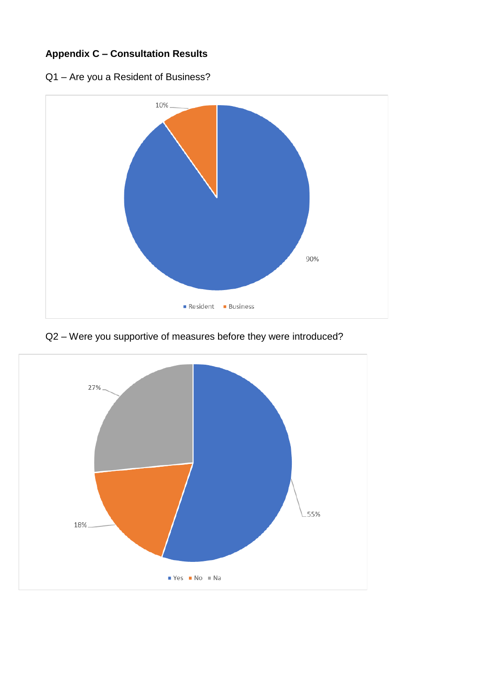# **Appendix C – Consultation Results**





Q2 – Were you supportive of measures before they were introduced?

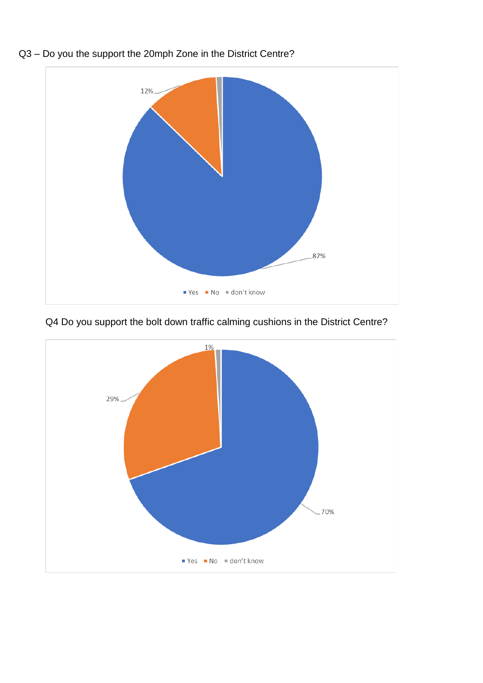



Q4 Do you support the bolt down traffic calming cushions in the District Centre?